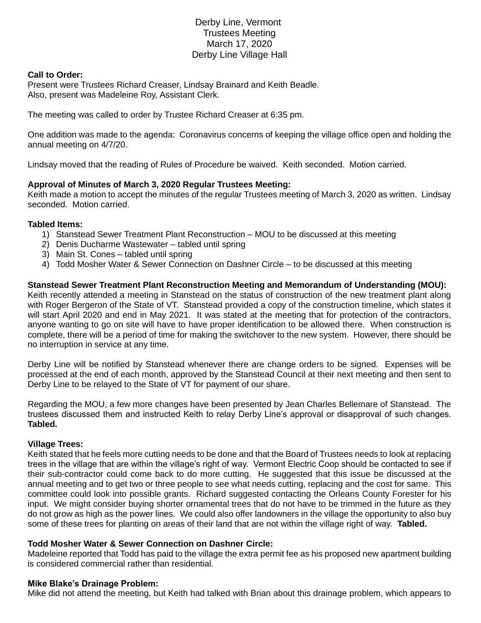# Derby Line, Vermont Trustees Meeting March 17, 2020 Derby Line Village Hall

## **Call to Order:**

Present were Trustees Richard Creaser, Lindsay Brainard and Keith Beadle. Also, present was Madeleine Roy, Assistant Clerk.

The meeting was called to order by Trustee Richard Creaser at 6:35 pm.

One addition was made to the agenda: Coronavirus concerns of keeping the village office open and holding the annual meeting on 4/7/20.

Lindsay moved that the reading of Rules of Procedure be waived. Keith seconded. Motion carried.

## **Approval of Minutes of March 3, 2020 Regular Trustees Meeting:**

Keith made a motion to accept the minutes of the regular Trustees meeting of March 3, 2020 as written. Lindsay seconded. Motion carried.

#### **Tabled Items:**

- 1) Stanstead Sewer Treatment Plant Reconstruction MOU to be discussed at this meeting
- 2) Denis Ducharme Wastewater tabled until spring
- 3) Main St. Cones tabled until spring
- 4) Todd Mosher Water & Sewer Connection on Dashner Circle to be discussed at this meeting

**Stanstead Sewer Treatment Plant Reconstruction Meeting and Memorandum of Understanding (MOU):** Keith recently attended a meeting in Stanstead on the status of construction of the new treatment plant along with Roger Bergeron of the State of VT. Stanstead provided a copy of the construction timeline, which states it will start April 2020 and end in May 2021. It was stated at the meeting that for protection of the contractors, anyone wanting to go on site will have to have proper identification to be allowed there. When construction is complete, there will be a period of time for making the switchover to the new system. However, there should be no interruption in service at any time.

Derby Line will be notified by Stanstead whenever there are change orders to be signed. Expenses will be processed at the end of each month, approved by the Stanstead Council at their next meeting and then sent to Derby Line to be relayed to the State of VT for payment of our share.

Regarding the MOU, a few more changes have been presented by Jean Charles Bellemare of Stanstead. The trustees discussed them and instructed Keith to relay Derby Line's approval or disapproval of such changes. **Tabled.**

#### **Village Trees:**

Keith stated that he feels more cutting needs to be done and that the Board of Trustees needs to look at replacing trees in the village that are within the village's right of way. Vermont Electric Coop should be contacted to see if their sub-contractor could come back to do more cutting. He suggested that this issue be discussed at the annual meeting and to get two or three people to see what needs cutting, replacing and the cost for same. This committee could look into possible grants. Richard suggested contacting the Orleans County Forester for his input. We might consider buying shorter ornamental trees that do not have to be trimmed in the future as they do not grow as high as the power lines. We could also offer landowners in the village the opportunity to also buy some of these trees for planting on areas of their land that are not within the village right of way. **Tabled.**

#### **Todd Mosher Water & Sewer Connection on Dashner Circle:**

Madeleine reported that Todd has paid to the village the extra permit fee as his proposed new apartment building is considered commercial rather than residential.

#### **Mike Blake's Drainage Problem:**

Mike did not attend the meeting, but Keith had talked with Brian about this drainage problem, which appears to